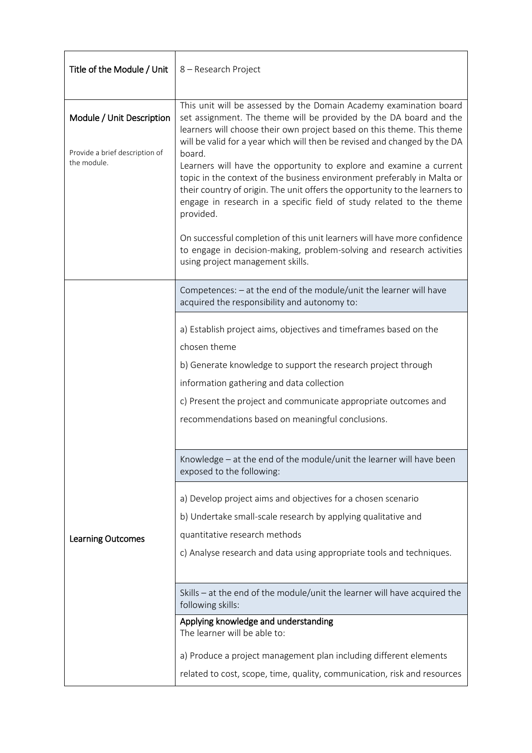| Title of the Module / Unit                    | 8 - Research Project                                                                                                                                                                                                                                                                                                                                                                                      |  |  |
|-----------------------------------------------|-----------------------------------------------------------------------------------------------------------------------------------------------------------------------------------------------------------------------------------------------------------------------------------------------------------------------------------------------------------------------------------------------------------|--|--|
| Module / Unit Description                     | This unit will be assessed by the Domain Academy examination board<br>set assignment. The theme will be provided by the DA board and the<br>learners will choose their own project based on this theme. This theme                                                                                                                                                                                        |  |  |
| Provide a brief description of<br>the module. | will be valid for a year which will then be revised and changed by the DA<br>board.<br>Learners will have the opportunity to explore and examine a current<br>topic in the context of the business environment preferably in Malta or<br>their country of origin. The unit offers the opportunity to the learners to<br>engage in research in a specific field of study related to the theme<br>provided. |  |  |
|                                               | On successful completion of this unit learners will have more confidence<br>to engage in decision-making, problem-solving and research activities<br>using project management skills.                                                                                                                                                                                                                     |  |  |
|                                               | Competences: - at the end of the module/unit the learner will have<br>acquired the responsibility and autonomy to:                                                                                                                                                                                                                                                                                        |  |  |
|                                               | a) Establish project aims, objectives and timeframes based on the<br>chosen theme                                                                                                                                                                                                                                                                                                                         |  |  |
|                                               | b) Generate knowledge to support the research project through                                                                                                                                                                                                                                                                                                                                             |  |  |
|                                               | information gathering and data collection                                                                                                                                                                                                                                                                                                                                                                 |  |  |
|                                               | c) Present the project and communicate appropriate outcomes and                                                                                                                                                                                                                                                                                                                                           |  |  |
|                                               | recommendations based on meaningful conclusions.                                                                                                                                                                                                                                                                                                                                                          |  |  |
|                                               | Knowledge - at the end of the module/unit the learner will have been<br>exposed to the following:                                                                                                                                                                                                                                                                                                         |  |  |
|                                               | a) Develop project aims and objectives for a chosen scenario                                                                                                                                                                                                                                                                                                                                              |  |  |
|                                               | b) Undertake small-scale research by applying qualitative and                                                                                                                                                                                                                                                                                                                                             |  |  |
| <b>Learning Outcomes</b>                      | quantitative research methods                                                                                                                                                                                                                                                                                                                                                                             |  |  |
|                                               | c) Analyse research and data using appropriate tools and techniques.                                                                                                                                                                                                                                                                                                                                      |  |  |
|                                               |                                                                                                                                                                                                                                                                                                                                                                                                           |  |  |
|                                               | Skills - at the end of the module/unit the learner will have acquired the<br>following skills:                                                                                                                                                                                                                                                                                                            |  |  |
|                                               | Applying knowledge and understanding<br>The learner will be able to:                                                                                                                                                                                                                                                                                                                                      |  |  |
|                                               | a) Produce a project management plan including different elements                                                                                                                                                                                                                                                                                                                                         |  |  |
|                                               | related to cost, scope, time, quality, communication, risk and resources                                                                                                                                                                                                                                                                                                                                  |  |  |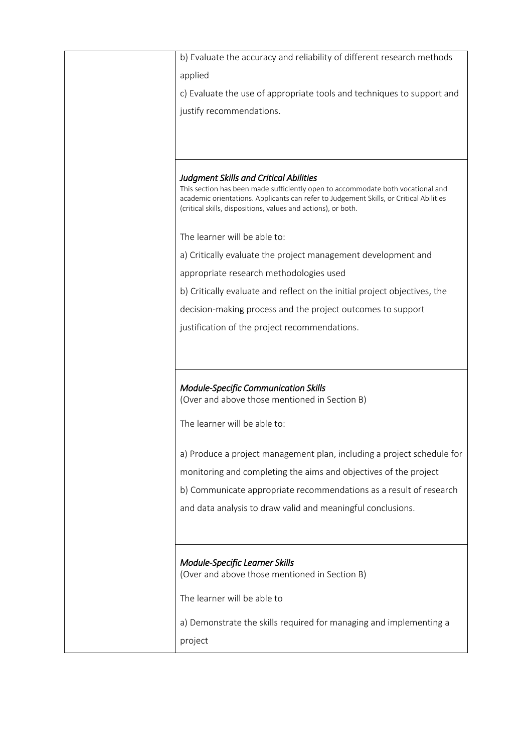| b) Evaluate the accuracy and reliability of different research methods                                                                                                    |
|---------------------------------------------------------------------------------------------------------------------------------------------------------------------------|
| applied                                                                                                                                                                   |
| c) Evaluate the use of appropriate tools and techniques to support and                                                                                                    |
| justify recommendations.                                                                                                                                                  |
|                                                                                                                                                                           |
|                                                                                                                                                                           |
|                                                                                                                                                                           |
| <b>Judgment Skills and Critical Abilities</b>                                                                                                                             |
| This section has been made sufficiently open to accommodate both vocational and<br>academic orientations. Applicants can refer to Judgement Skills, or Critical Abilities |
| (critical skills, dispositions, values and actions), or both.                                                                                                             |
|                                                                                                                                                                           |
| The learner will be able to:                                                                                                                                              |
| a) Critically evaluate the project management development and                                                                                                             |
| appropriate research methodologies used                                                                                                                                   |
| b) Critically evaluate and reflect on the initial project objectives, the                                                                                                 |
| decision-making process and the project outcomes to support                                                                                                               |
| justification of the project recommendations.                                                                                                                             |
|                                                                                                                                                                           |
|                                                                                                                                                                           |
|                                                                                                                                                                           |
| Module-Specific Communication Skills                                                                                                                                      |
| (Over and above those mentioned in Section B)                                                                                                                             |
| The learner will be able to:                                                                                                                                              |
|                                                                                                                                                                           |
| a) Produce a project management plan, including a project schedule for                                                                                                    |
| monitoring and completing the aims and objectives of the project                                                                                                          |
| b) Communicate appropriate recommendations as a result of research                                                                                                        |
| and data analysis to draw valid and meaningful conclusions.                                                                                                               |
|                                                                                                                                                                           |
|                                                                                                                                                                           |
|                                                                                                                                                                           |
| <b>Module-Specific Learner Skills</b><br>(Over and above those mentioned in Section B)                                                                                    |
|                                                                                                                                                                           |
| The learner will be able to                                                                                                                                               |
| a) Demonstrate the skills required for managing and implementing a                                                                                                        |
| project                                                                                                                                                                   |
|                                                                                                                                                                           |